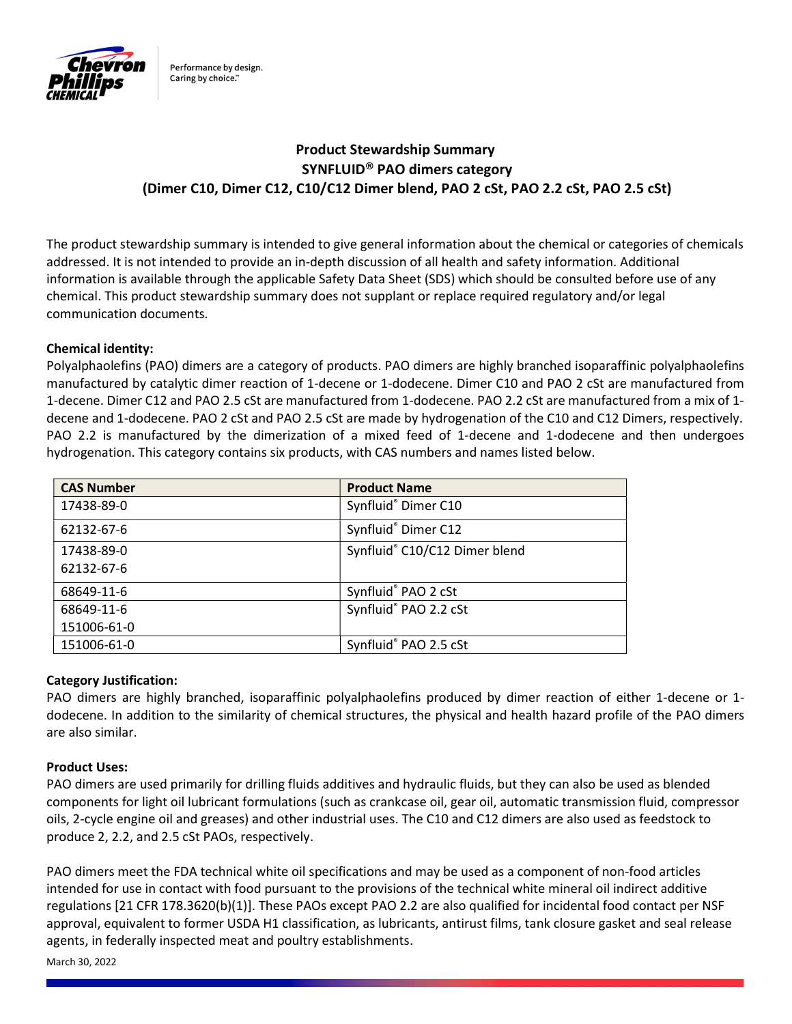

Performance by design. Caring by choice."

# Product Stewardship Summary SYNFLUID<sup>®</sup> PAO dimers category (Dimer C10, Dimer C12, C10/C12 Dimer blend, PAO 2 cSt, PAO 2.2 cSt, PAO 2.5 cSt)

The product stewardship summary is intended to give general information about the chemical or categories of chemicals addressed. It is not intended to provide an in-depth discussion of all health and safety information. Additional information is available through the applicable Safety Data Sheet (SDS) which should be consulted before use of any chemical. This product stewardship summary does not supplant or replace required regulatory and/or legal communication documents.

# Chemical identity:

Polyalphaolefins (PAO) dimers are a category of products. PAO dimers are highly branched isoparaffinic polyalphaolefins manufactured by catalytic dimer reaction of 1-decene or 1-dodecene. Dimer C10 and PAO 2 cSt are manufactured from 1-decene. Dimer C12 and PAO 2.5 cSt are manufactured from 1-dodecene. PAO 2.2 cSt are manufactured from a mix of 1 decene and 1-dodecene. PAO 2 cSt and PAO 2.5 cSt are made by hydrogenation of the C10 and C12 Dimers, respectively. PAO 2.2 is manufactured by the dimerization of a mixed feed of 1-decene and 1-dodecene and then undergoes hydrogenation. This category contains six products, with CAS numbers and names listed below.

| <b>CAS Number</b> | <b>Product Name</b>           |
|-------------------|-------------------------------|
| 17438-89-0        | Synfluid® Dimer C10           |
| 62132-67-6        | Synfluid® Dimer C12           |
| 17438-89-0        | Synfluid® C10/C12 Dimer blend |
| 62132-67-6        |                               |
| 68649-11-6        | Synfluid® PAO 2 cSt           |
| 68649-11-6        | Synfluid® PAO 2.2 cSt         |
| 151006-61-0       |                               |
| 151006-61-0       | Synfluid® PAO 2.5 cSt         |

# Category Justification:

PAO dimers are highly branched, isoparaffinic polyalphaolefins produced by dimer reaction of either 1-decene or 1 dodecene. In addition to the similarity of chemical structures, the physical and health hazard profile of the PAO dimers are also similar.

# Product Uses:

PAO dimers are used primarily for drilling fluids additives and hydraulic fluids, but they can also be used as blended components for light oil lubricant formulations (such as crankcase oil, gear oil, automatic transmission fluid, compressor oils, 2-cycle engine oil and greases) and other industrial uses. The C10 and C12 dimers are also used as feedstock to produce 2, 2.2, and 2.5 cSt PAOs, respectively.

PAO dimers meet the FDA technical white oil specifications and may be used as a component of non-food articles intended for use in contact with food pursuant to the provisions of the technical white mineral oil indirect additive regulations [21 CFR 178.3620(b)(1)]. These PAOs except PAO 2.2 are also qualified for incidental food contact per NSF approval, equivalent to former USDA H1 classification, as lubricants, antirust films, tank closure gasket and seal release agents, in federally inspected meat and poultry establishments.

March 30, 2022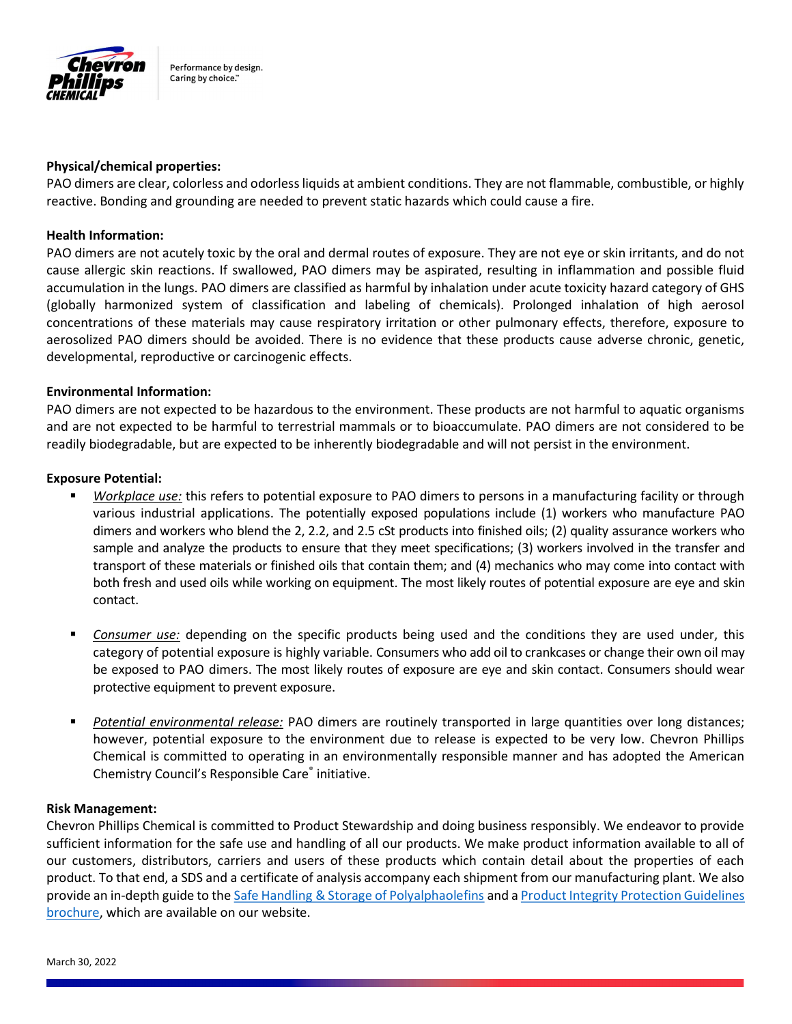

Performance by design. Caring by choice."

#### Physical/chemical properties:

PAO dimers are clear, colorless and odorless liquids at ambient conditions. They are not flammable, combustible, or highly reactive. Bonding and grounding are needed to prevent static hazards which could cause a fire.

## Health Information:

PAO dimers are not acutely toxic by the oral and dermal routes of exposure. They are not eye or skin irritants, and do not cause allergic skin reactions. If swallowed, PAO dimers may be aspirated, resulting in inflammation and possible fluid accumulation in the lungs. PAO dimers are classified as harmful by inhalation under acute toxicity hazard category of GHS (globally harmonized system of classification and labeling of chemicals). Prolonged inhalation of high aerosol concentrations of these materials may cause respiratory irritation or other pulmonary effects, therefore, exposure to aerosolized PAO dimers should be avoided. There is no evidence that these products cause adverse chronic, genetic, developmental, reproductive or carcinogenic effects.

## Environmental Information:

PAO dimers are not expected to be hazardous to the environment. These products are not harmful to aquatic organisms and are not expected to be harmful to terrestrial mammals or to bioaccumulate. PAO dimers are not considered to be readily biodegradable, but are expected to be inherently biodegradable and will not persist in the environment.

## Exposure Potential:

- Workplace use: this refers to potential exposure to PAO dimers to persons in a manufacturing facility or through various industrial applications. The potentially exposed populations include (1) workers who manufacture PAO dimers and workers who blend the 2, 2.2, and 2.5 cSt products into finished oils; (2) quality assurance workers who sample and analyze the products to ensure that they meet specifications; (3) workers involved in the transfer and transport of these materials or finished oils that contain them; and (4) mechanics who may come into contact with both fresh and used oils while working on equipment. The most likely routes of potential exposure are eye and skin contact.
- Consumer use: depending on the specific products being used and the conditions they are used under, this category of potential exposure is highly variable. Consumers who add oil to crankcases or change their own oil may be exposed to PAO dimers. The most likely routes of exposure are eye and skin contact. Consumers should wear protective equipment to prevent exposure.
- Potential environmental release: PAO dimers are routinely transported in large quantities over long distances; however, potential exposure to the environment due to release is expected to be very low. Chevron Phillips Chemical is committed to operating in an environmentally responsible manner and has adopted the American Chemistry Council's Responsible Care® initiative.

## Risk Management:

Chevron Phillips Chemical is committed to Product Stewardship and doing business responsibly. We endeavor to provide sufficient information for the safe use and handling of all our products. We make product information available to all of our customers, distributors, carriers and users of these products which contain detail about the properties of each product. To that end, a SDS and a certificate of analysis accompany each shipment from our manufacturing plant. We also provide an in-depth guide to the Safe Handling & Storage of Polyalphaolefins and a Product Integrity Protection Guidelines brochure, which are available on our website.